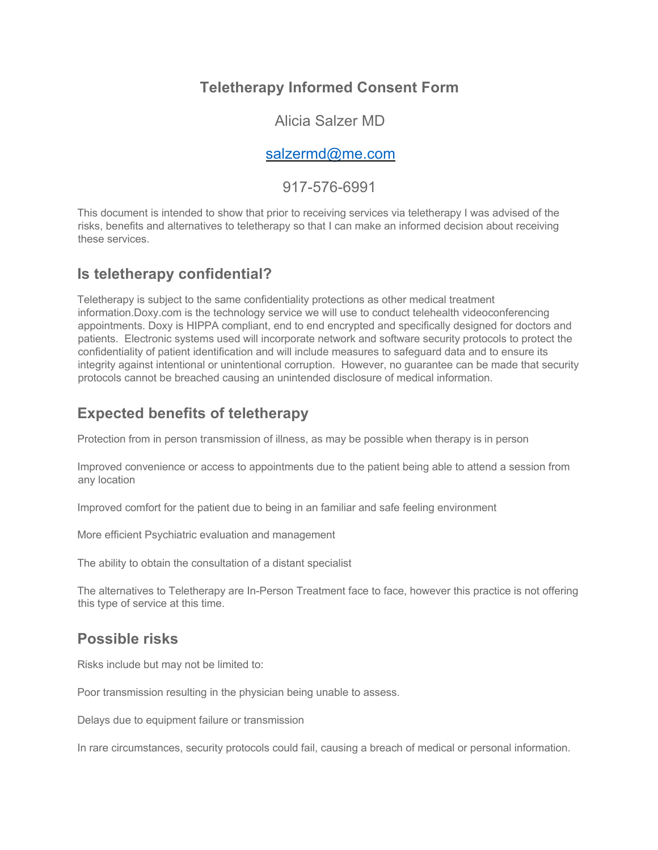# **Teletherapy Informed Consent Form**

#### Alicia Salzer MD

#### salzermd@me.com

#### 917-576-6991

This document is intended to show that prior to receiving services via teletherapy I was advised of the risks, benefits and alternatives to teletherapy so that I can make an informed decision about receiving these services.

### **Is teletherapy confidential?**

Teletherapy is subject to the same confidentiality protections as other medical treatment information.Doxy.com is the technology service we will use to conduct telehealth videoconferencing appointments. Doxy is HIPPA compliant, end to end encrypted and specifically designed for doctors and patients. Electronic systems used will incorporate network and software security protocols to protect the confidentiality of patient identification and will include measures to safeguard data and to ensure its integrity against intentional or unintentional corruption. However, no guarantee can be made that security protocols cannot be breached causing an unintended disclosure of medical information.

#### **Expected benefits of teletherapy**

Protection from in person transmission of illness, as may be possible when therapy is in person

Improved convenience or access to appointments due to the patient being able to attend a session from any location

Improved comfort for the patient due to being in an familiar and safe feeling environment

More efficient Psychiatric evaluation and management

The ability to obtain the consultation of a distant specialist

The alternatives to Teletherapy are In-Person Treatment face to face, however this practice is not offering this type of service at this time.

## **Possible risks**

Risks include but may not be limited to:

Poor transmission resulting in the physician being unable to assess.

Delays due to equipment failure or transmission

In rare circumstances, security protocols could fail, causing a breach of medical or personal information.